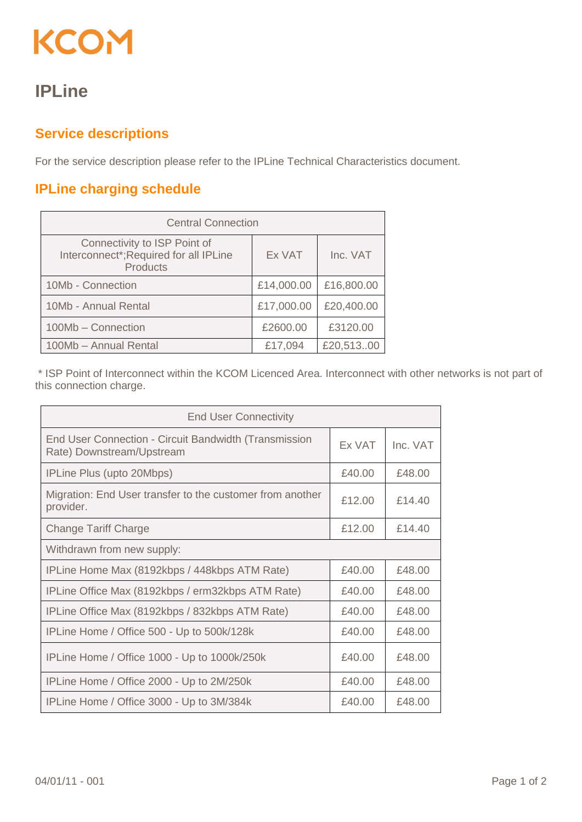## KCOM

## **IPLine**

## **Service descriptions**

For the service description please refer to the IPLine Technical Characteristics document.

## **IPLine charging schedule**

| <b>Central Connection</b>                                                                 |            |            |  |  |
|-------------------------------------------------------------------------------------------|------------|------------|--|--|
| Connectivity to ISP Point of<br>Interconnect*; Required for all IPLine<br><b>Products</b> | Ex VAT     | Inc. VAT   |  |  |
| 10Mb - Connection                                                                         | £14,000.00 | £16,800.00 |  |  |
| 10Mb - Annual Rental                                                                      | £17,000.00 | £20,400.00 |  |  |
| 100Mb - Connection                                                                        | £2600.00   | £3120.00   |  |  |
| 100Mb - Annual Rental                                                                     | £17,094    | £20,51300  |  |  |

\* ISP Point of Interconnect within the KCOM Licenced Area. Interconnect with other networks is not part of this connection charge.

| <b>End User Connectivity</b>                                                       |        |          |  |  |
|------------------------------------------------------------------------------------|--------|----------|--|--|
| End User Connection - Circuit Bandwidth (Transmission<br>Rate) Downstream/Upstream | Ex VAT | Inc. VAT |  |  |
| IPLine Plus (upto 20Mbps)                                                          | £40.00 | £48.00   |  |  |
| Migration: End User transfer to the customer from another<br>provider.             | £12.00 | £14.40   |  |  |
| <b>Change Tariff Charge</b>                                                        | £12.00 | £14.40   |  |  |
| Withdrawn from new supply:                                                         |        |          |  |  |
| IPLine Home Max (8192kbps / 448kbps ATM Rate)                                      | £40.00 | £48.00   |  |  |
| IPLine Office Max (8192kbps / erm32kbps ATM Rate)                                  | £40.00 | £48.00   |  |  |
| IPLine Office Max (8192kbps / 832kbps ATM Rate)                                    | £40.00 | £48.00   |  |  |
| IPLine Home / Office 500 - Up to 500k/128k                                         | £40.00 | £48.00   |  |  |
| IPLine Home / Office 1000 - Up to 1000k/250k                                       | £40.00 | £48.00   |  |  |
| IPLine Home / Office 2000 - Up to 2M/250k                                          | £40.00 | £48.00   |  |  |
| IPLine Home / Office 3000 - Up to 3M/384k                                          | £40.00 | £48.00   |  |  |